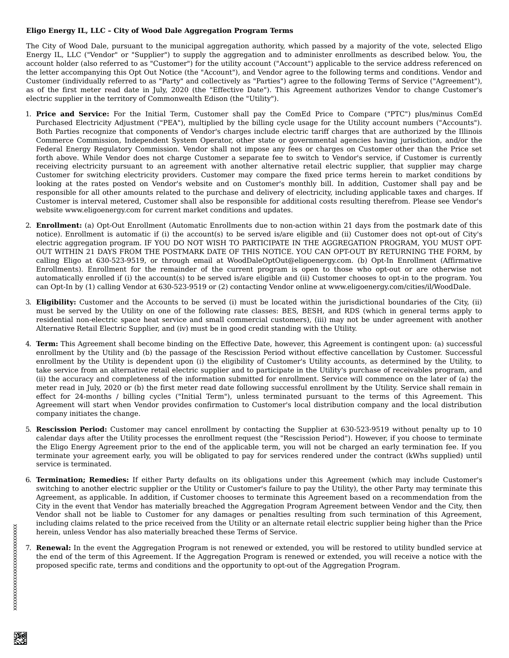## **Eligo Energy IL, LLC – City of Wood Dale Aggregation Program Terms**

The City of Wood Dale, pursuant to the municipal aggregation authority, which passed by a majority of the vote, selected Eligo Energy IL, LLC ("Vendor" or "Supplier") to supply the aggregation and to administer enrollments as described below. You, the account holder (also referred to as "Customer") for the utility account ("Account") applicable to the service address referenced on the letter accompanying this Opt Out Notice (the "Account"), and Vendor agree to the following terms and conditions. Vendor and Customer (individually referred to as "Party" and collectively as "Parties") agree to the following Terms of Service ("Agreement"), as of the first meter read date in July, 2020 (the "Effective Date"). This Agreement authorizes Vendor to change Customer's electric supplier in the territory of Commonwealth Edison (the "Utility").

- 1. **Price and Service:** For the Initial Term, Customer shall pay the ComEd Price to Compare ("PTC") plus/minus ComEd Purchased Electricity Adjustment ("PEA"), multiplied by the billing cycle usage for the Utility account numbers ("Accounts"). Both Parties recognize that components of Vendor's charges include electric tariff charges that are authorized by the Illinois Commerce Commission, Independent System Operator, other state or governmental agencies having jurisdiction, and/or the Federal Energy Regulatory Commission. Vendor shall not impose any fees or charges on Customer other than the Price set forth above. While Vendor does not charge Customer a separate fee to switch to Vendor's service, if Customer is currently receiving electricity pursuant to an agreement with another alternative retail electric supplier, that supplier may charge Customer for switching electricity providers. Customer may compare the fixed price terms herein to market conditions by looking at the rates posted on Vendor's website and on Customer's monthly bill. In addition, Customer shall pay and be responsible for all other amounts related to the purchase and delivery of electricity, including applicable taxes and charges. If Customer is interval metered, Customer shall also be responsible for additional costs resulting therefrom. Please see Vendor's website www.eligoenergy.com for current market conditions and updates.
- 2. **Enrollment:** (a) Opt-Out Enrollment (Automatic Enrollments due to non-action within 21 days from the postmark date of this notice). Enrollment is automatic if (i) the account(s) to be served is/are eligible and (ii) Customer does not opt-out of City's electric aggregation program. IF YOU DO NOT WISH TO PARTICIPATE IN THE AGGREGATION PROGRAM, YOU MUST OPT-OUT WITHIN 21 DAYS FROM THE POSTMARK DATE OF THIS NOTICE. YOU CAN OPT-OUT BY RETURNING THE FORM, by calling Eligo at 630-523-9519, or through email at WoodDaleOptOut@eligoenergy.com. (b) Opt-In Enrollment (Affirmative Enrollments). Enrollment for the remainder of the current program is open to those who opt-out or are otherwise not automatically enrolled if (i) the account(s) to be served is/are eligible and (ii) Customer chooses to opt-in to the program. You can Opt-In by (1) calling Vendor at 630-523-9519 or (2) contacting Vendor online at www.eligoenergy.com/cities/il/WoodDale.
- 3. **Eligibility:** Customer and the Accounts to be served (i) must be located within the jurisdictional boundaries of the City, (ii) must be served by the Utility on one of the following rate classes: BES, BESH, and RDS (which in general terms apply to residential non-electric space heat service and small commercial customers), (iii) may not be under agreement with another Alternative Retail Electric Supplier, and (iv) must be in good credit standing with the Utility.
- 4. **Term:** This Agreement shall become binding on the Effective Date, however, this Agreement is contingent upon: (a) successful enrollment by the Utility and (b) the passage of the Rescission Period without effective cancellation by Customer. Successful enrollment by the Utility is dependent upon (i) the eligibility of Customer's Utility accounts, as determined by the Utility, to take service from an alternative retail electric supplier and to participate in the Utility's purchase of receivables program, and (ii) the accuracy and completeness of the information submitted for enrollment. Service will commence on the later of (a) the meter read in July, 2020 or (b) the first meter read date following successful enrollment by the Utility. Service shall remain in effect for 24-months / billing cycles ("Initial Term"), unless terminated pursuant to the terms of this Agreement. This Agreement will start when Vendor provides confirmation to Customer's local distribution company and the local distribution company initiates the change.
- 5. **Rescission Period:** Customer may cancel enrollment by contacting the Supplier at 630-523-9519 without penalty up to 10 calendar days after the Utility processes the enrollment request (the "Rescission Period"). However, if you choose to terminate the Eligo Energy Agreement prior to the end of the applicable term, you will not be charged an early termination fee. If you terminate your agreement early, you will be obligated to pay for services rendered under the contract (kWhs supplied) until service is terminated.
- 6. **Termination; Remedies:** If either Party defaults on its obligations under this Agreement (which may include Customer's switching to another electric supplier or the Utility or Customer's failure to pay the Utility), the other Party may terminate this Agreement, as applicable. In addition, if Customer chooses to terminate this Agreement based on a recommendation from the City in the event that Vendor has materially breached the Aggregation Program Agreement between Vendor and the City, then Vendor shall not be liable to Customer for any damages or penalties resulting from such termination of this Agreement, including claims related to the price received from the Utility or an alternate retail electric supplier being higher than the Price herein, unless Vendor has also materially breached these Terms of Service.
- 7. **Renewal:** In the event the Aggregation Program is not renewed or extended, you will be restored to utility bundled service at the end of the term of this Agreement. If the Aggregation Program is renewed or extended, you will receive a notice with the proposed specific rate, terms and conditions and the opportunity to opt-out of the Aggregation Program.